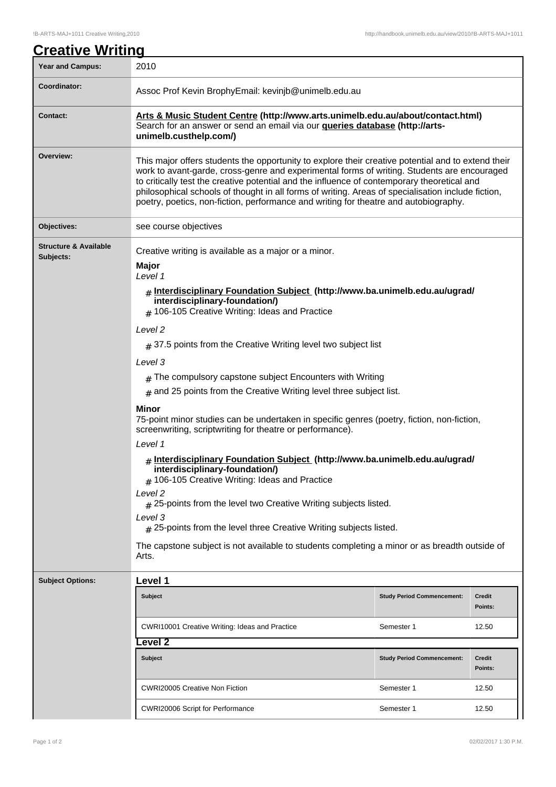| <b>Creative Writing</b>                       |                                                                                                                                                                                                                                                                                                                                                                                                                                                                                                                                                                                                                                                                                                                                                                                                                                                                                                                                                                                                                                                                                                                      |                                   |                   |  |
|-----------------------------------------------|----------------------------------------------------------------------------------------------------------------------------------------------------------------------------------------------------------------------------------------------------------------------------------------------------------------------------------------------------------------------------------------------------------------------------------------------------------------------------------------------------------------------------------------------------------------------------------------------------------------------------------------------------------------------------------------------------------------------------------------------------------------------------------------------------------------------------------------------------------------------------------------------------------------------------------------------------------------------------------------------------------------------------------------------------------------------------------------------------------------------|-----------------------------------|-------------------|--|
| <b>Year and Campus:</b>                       | 2010                                                                                                                                                                                                                                                                                                                                                                                                                                                                                                                                                                                                                                                                                                                                                                                                                                                                                                                                                                                                                                                                                                                 |                                   |                   |  |
| Coordinator:                                  | Assoc Prof Kevin BrophyEmail: kevinjb@unimelb.edu.au                                                                                                                                                                                                                                                                                                                                                                                                                                                                                                                                                                                                                                                                                                                                                                                                                                                                                                                                                                                                                                                                 |                                   |                   |  |
| <b>Contact:</b>                               | Arts & Music Student Centre (http://www.arts.unimelb.edu.au/about/contact.html)<br>Search for an answer or send an email via our <b>queries database (http://arts-</b><br>unimelb.custhelp.com/)                                                                                                                                                                                                                                                                                                                                                                                                                                                                                                                                                                                                                                                                                                                                                                                                                                                                                                                     |                                   |                   |  |
| Overview:                                     | This major offers students the opportunity to explore their creative potential and to extend their<br>work to avant-garde, cross-genre and experimental forms of writing. Students are encouraged<br>to critically test the creative potential and the influence of contemporary theoretical and<br>philosophical schools of thought in all forms of writing. Areas of specialisation include fiction,<br>poetry, poetics, non-fiction, performance and writing for theatre and autobiography.                                                                                                                                                                                                                                                                                                                                                                                                                                                                                                                                                                                                                       |                                   |                   |  |
| Objectives:                                   | see course objectives                                                                                                                                                                                                                                                                                                                                                                                                                                                                                                                                                                                                                                                                                                                                                                                                                                                                                                                                                                                                                                                                                                |                                   |                   |  |
| <b>Structure &amp; Available</b><br>Subjects: | Creative writing is available as a major or a minor.<br>Major<br>Level 1<br># Interdisciplinary Foundation Subject (http://www.ba.unimelb.edu.au/ugrad/<br>interdisciplinary-foundation/)<br># 106-105 Creative Writing: Ideas and Practice<br>Level <sub>2</sub><br>$\#$ 37.5 points from the Creative Writing level two subject list<br>Level 3<br>$#$ The compulsory capstone subject Encounters with Writing<br>$#$ and 25 points from the Creative Writing level three subject list.<br>Minor<br>75-point minor studies can be undertaken in specific genres (poetry, fiction, non-fiction,<br>screenwriting, scriptwriting for theatre or performance).<br>Level 1<br># Interdisciplinary Foundation Subject (http://www.ba.unimelb.edu.au/ugrad/<br>interdisciplinary-foundation/)<br>$#$ 106-105 Creative Writing: Ideas and Practice<br>Level 2<br>$\#$ 25-points from the level two Creative Writing subjects listed.<br>Level 3<br>$\#$ 25-points from the level three Creative Writing subjects listed.<br>The capstone subject is not available to students completing a minor or as breadth outside of |                                   |                   |  |
| <b>Subject Options:</b>                       | Level 1                                                                                                                                                                                                                                                                                                                                                                                                                                                                                                                                                                                                                                                                                                                                                                                                                                                                                                                                                                                                                                                                                                              |                                   |                   |  |
|                                               | <b>Subject</b>                                                                                                                                                                                                                                                                                                                                                                                                                                                                                                                                                                                                                                                                                                                                                                                                                                                                                                                                                                                                                                                                                                       | <b>Study Period Commencement:</b> | Credit<br>Points: |  |
|                                               | CWRI10001 Creative Writing: Ideas and Practice                                                                                                                                                                                                                                                                                                                                                                                                                                                                                                                                                                                                                                                                                                                                                                                                                                                                                                                                                                                                                                                                       | Semester 1                        | 12.50             |  |
|                                               | evel 2                                                                                                                                                                                                                                                                                                                                                                                                                                                                                                                                                                                                                                                                                                                                                                                                                                                                                                                                                                                                                                                                                                               |                                   |                   |  |
|                                               | <b>Subject</b>                                                                                                                                                                                                                                                                                                                                                                                                                                                                                                                                                                                                                                                                                                                                                                                                                                                                                                                                                                                                                                                                                                       | <b>Study Period Commencement:</b> | Credit<br>Points: |  |
|                                               | <b>CWRI20005 Creative Non Fiction</b>                                                                                                                                                                                                                                                                                                                                                                                                                                                                                                                                                                                                                                                                                                                                                                                                                                                                                                                                                                                                                                                                                | Semester 1                        | 12.50             |  |
|                                               | CWRI20006 Script for Performance                                                                                                                                                                                                                                                                                                                                                                                                                                                                                                                                                                                                                                                                                                                                                                                                                                                                                                                                                                                                                                                                                     | Semester 1                        | 12.50             |  |

 $\overline{\phantom{a}}$